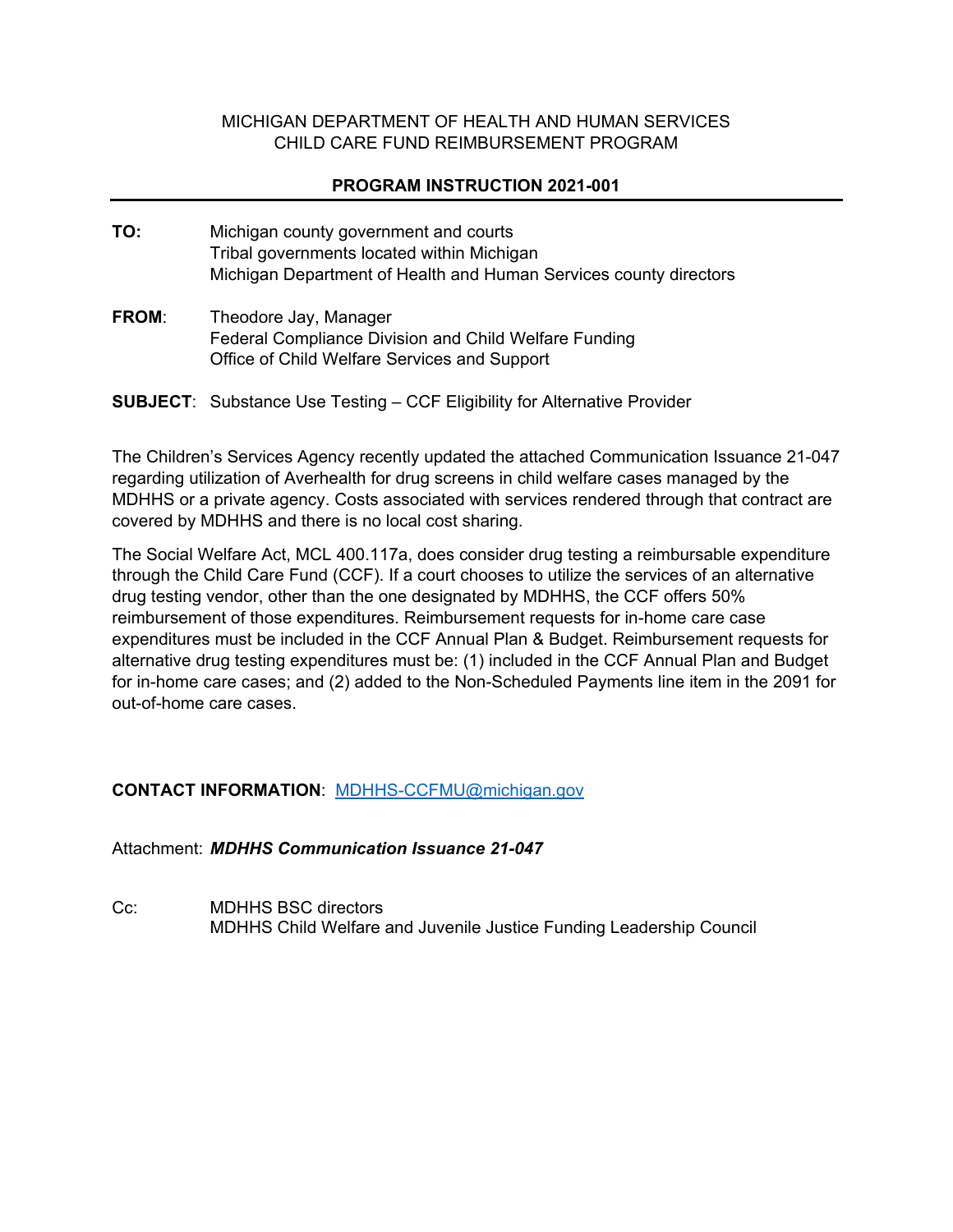## MICHIGAN DEPARTMENT OF HEALTH AND HUMAN SERVICES CHILD CARE FUND REIMBURSEMENT PROGRAM

## **PROGRAM INSTRUCTION 2021-001**

- **TO:** Michigan county government and courts Tribal governments located within Michigan Michigan Department of Health and Human Services county directors
- **FROM**: Theodore Jay, Manager Federal Compliance Division and Child Welfare Funding Office of Child Welfare Services and Support

**SUBJECT**: Substance Use Testing – CCF Eligibility for Alternative Provider

The Children's Services Agency recently updated the attached Communication Issuance 21-047 regarding utilization of Averhealth for drug screens in child welfare cases managed by the MDHHS or a private agency. Costs associated with services rendered through that contract are covered by MDHHS and there is no local cost sharing.

The Social Welfare Act, MCL 400.117a, does consider drug testing a reimbursable expenditure through the Child Care Fund (CCF). If a court chooses to utilize the services of an alternative drug testing vendor, other than the one designated by MDHHS, the CCF offers 50% reimbursement of those expenditures. Reimbursement requests for in-home care case expenditures must be included in the CCF Annual Plan & Budget. Reimbursement requests for alternative drug testing expenditures must be: (1) included in the CCF Annual Plan and Budget for in-home care cases; and (2) added to the Non-Scheduled Payments line item in the 2091 for out-of-home care cases.

## **CONTACT INFORMATION**: [MDHHS-CCFMU@michigan.gov](mailto:MDHHS-CCFMU@michigan.gov)

Attachment: *MDHHS Communication Issuance 21-047*

Cc: MDHHS BSC directors MDHHS Child Welfare and Juvenile Justice Funding Leadership Council